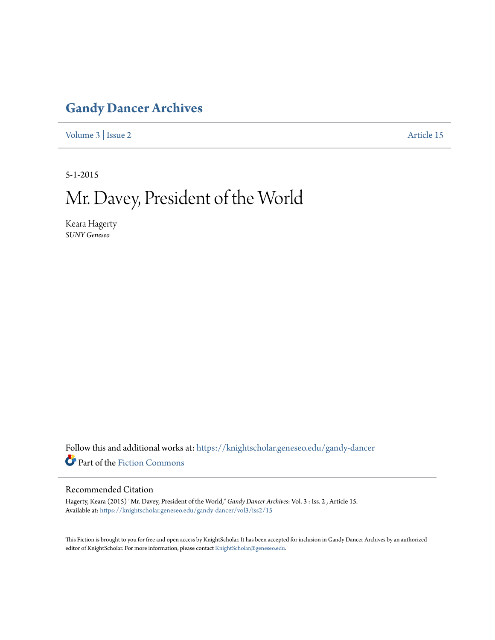## **[Gandy Dancer Archives](https://knightscholar.geneseo.edu/gandy-dancer?utm_source=knightscholar.geneseo.edu%2Fgandy-dancer%2Fvol3%2Fiss2%2F15&utm_medium=PDF&utm_campaign=PDFCoverPages)**

[Volume 3](https://knightscholar.geneseo.edu/gandy-dancer/vol3?utm_source=knightscholar.geneseo.edu%2Fgandy-dancer%2Fvol3%2Fiss2%2F15&utm_medium=PDF&utm_campaign=PDFCoverPages) | [Issue 2](https://knightscholar.geneseo.edu/gandy-dancer/vol3/iss2?utm_source=knightscholar.geneseo.edu%2Fgandy-dancer%2Fvol3%2Fiss2%2F15&utm_medium=PDF&utm_campaign=PDFCoverPages) [Article 15](https://knightscholar.geneseo.edu/gandy-dancer/vol3/iss2/15?utm_source=knightscholar.geneseo.edu%2Fgandy-dancer%2Fvol3%2Fiss2%2F15&utm_medium=PDF&utm_campaign=PDFCoverPages)

5-1-2015

## Mr. Davey, President of the World

Keara Hagerty *SUNY Geneseo*

Follow this and additional works at: [https://knightscholar.geneseo.edu/gandy-dancer](https://knightscholar.geneseo.edu/gandy-dancer?utm_source=knightscholar.geneseo.edu%2Fgandy-dancer%2Fvol3%2Fiss2%2F15&utm_medium=PDF&utm_campaign=PDFCoverPages) Part of the [Fiction Commons](http://network.bepress.com/hgg/discipline/1151?utm_source=knightscholar.geneseo.edu%2Fgandy-dancer%2Fvol3%2Fiss2%2F15&utm_medium=PDF&utm_campaign=PDFCoverPages)

## Recommended Citation

Hagerty, Keara (2015) "Mr. Davey, President of the World," *Gandy Dancer Archives*: Vol. 3 : Iss. 2 , Article 15. Available at: [https://knightscholar.geneseo.edu/gandy-dancer/vol3/iss2/15](https://knightscholar.geneseo.edu/gandy-dancer/vol3/iss2/15?utm_source=knightscholar.geneseo.edu%2Fgandy-dancer%2Fvol3%2Fiss2%2F15&utm_medium=PDF&utm_campaign=PDFCoverPages)

This Fiction is brought to you for free and open access by KnightScholar. It has been accepted for inclusion in Gandy Dancer Archives by an authorized editor of KnightScholar. For more information, please contact [KnightScholar@geneseo.edu.](mailto:KnightScholar@geneseo.edu)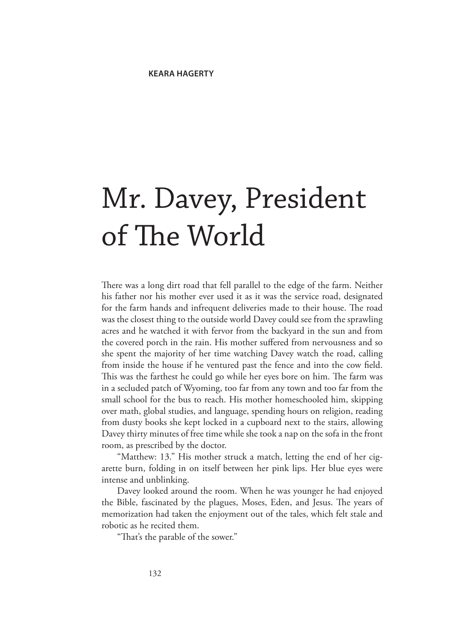## Mr. Davey, President of The World

There was a long dirt road that fell parallel to the edge of the farm. Neither his father nor his mother ever used it as it was the service road, designated for the farm hands and infrequent deliveries made to their house. The road was the closest thing to the outside world Davey could see from the sprawling acres and he watched it with fervor from the backyard in the sun and from the covered porch in the rain. His mother suffered from nervousness and so she spent the majority of her time watching Davey watch the road, calling from inside the house if he ventured past the fence and into the cow field. This was the farthest he could go while her eyes bore on him. The farm was in a secluded patch of Wyoming, too far from any town and too far from the small school for the bus to reach. His mother homeschooled him, skipping over math, global studies, and language, spending hours on religion, reading from dusty books she kept locked in a cupboard next to the stairs, allowing Davey thirty minutes of free time while she took a nap on the sofa in the front room, as prescribed by the doctor.

"Matthew: 13." His mother struck a match, letting the end of her cigarette burn, folding in on itself between her pink lips. Her blue eyes were intense and unblinking.

Davey looked around the room. When he was younger he had enjoyed the Bible, fascinated by the plagues, Moses, Eden, and Jesus. The years of memorization had taken the enjoyment out of the tales, which felt stale and robotic as he recited them.

"That's the parable of the sower."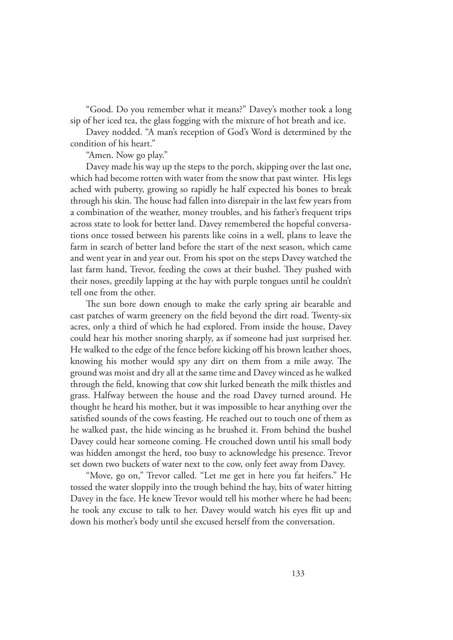"Good. Do you remember what it means?" Davey's mother took a long sip of her iced tea, the glass fogging with the mixture of hot breath and ice.

Davey nodded. "A man's reception of God's Word is determined by the condition of his heart."

"Amen. Now go play."

Davey made his way up the steps to the porch, skipping over the last one, which had become rotten with water from the snow that past winter. His legs ached with puberty, growing so rapidly he half expected his bones to break through his skin. The house had fallen into disrepair in the last few years from a combination of the weather, money troubles, and his father's frequent trips across state to look for better land. Davey remembered the hopeful conversations once tossed between his parents like coins in a well, plans to leave the farm in search of better land before the start of the next season, which came and went year in and year out. From his spot on the steps Davey watched the last farm hand, Trevor, feeding the cows at their bushel. They pushed with their noses, greedily lapping at the hay with purple tongues until he couldn't tell one from the other.

The sun bore down enough to make the early spring air bearable and cast patches of warm greenery on the field beyond the dirt road. Twenty-six acres, only a third of which he had explored. From inside the house, Davey could hear his mother snoring sharply, as if someone had just surprised her. He walked to the edge of the fence before kicking off his brown leather shoes, knowing his mother would spy any dirt on them from a mile away. The ground was moist and dry all at the same time and Davey winced as he walked through the field, knowing that cow shit lurked beneath the milk thistles and grass. Halfway between the house and the road Davey turned around. He thought he heard his mother, but it was impossible to hear anything over the satisfied sounds of the cows feasting. He reached out to touch one of them as he walked past, the hide wincing as he brushed it. From behind the bushel Davey could hear someone coming. He crouched down until his small body was hidden amongst the herd, too busy to acknowledge his presence. Trevor set down two buckets of water next to the cow, only feet away from Davey.

"Move, go on," Trevor called. "Let me get in here you fat heifers." He tossed the water sloppily into the trough behind the hay, bits of water hitting Davey in the face. He knew Trevor would tell his mother where he had been; he took any excuse to talk to her. Davey would watch his eyes flit up and down his mother's body until she excused herself from the conversation.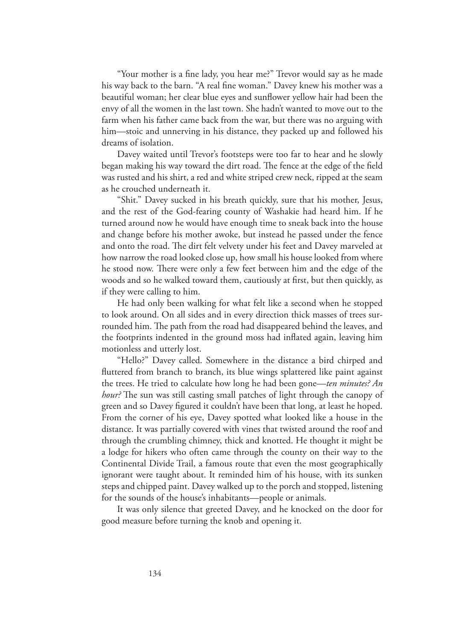"Your mother is a fine lady, you hear me?" Trevor would say as he made his way back to the barn. "A real fine woman." Davey knew his mother was a beautiful woman; her clear blue eyes and sunflower yellow hair had been the envy of all the women in the last town. She hadn't wanted to move out to the farm when his father came back from the war, but there was no arguing with him—stoic and unnerving in his distance, they packed up and followed his dreams of isolation.

Davey waited until Trevor's footsteps were too far to hear and he slowly began making his way toward the dirt road. The fence at the edge of the field was rusted and his shirt, a red and white striped crew neck, ripped at the seam as he crouched underneath it.

"Shit." Davey sucked in his breath quickly, sure that his mother, Jesus, and the rest of the God-fearing county of Washakie had heard him. If he turned around now he would have enough time to sneak back into the house and change before his mother awoke, but instead he passed under the fence and onto the road. The dirt felt velvety under his feet and Davey marveled at how narrow the road looked close up, how small his house looked from where he stood now. There were only a few feet between him and the edge of the woods and so he walked toward them, cautiously at first, but then quickly, as if they were calling to him.

He had only been walking for what felt like a second when he stopped to look around. On all sides and in every direction thick masses of trees surrounded him. The path from the road had disappeared behind the leaves, and the footprints indented in the ground moss had inflated again, leaving him motionless and utterly lost.

"Hello?" Davey called. Somewhere in the distance a bird chirped and fluttered from branch to branch, its blue wings splattered like paint against the trees. He tried to calculate how long he had been gone—*ten minutes? An hour?* The sun was still casting small patches of light through the canopy of green and so Davey figured it couldn't have been that long, at least he hoped. From the corner of his eye, Davey spotted what looked like a house in the distance. It was partially covered with vines that twisted around the roof and through the crumbling chimney, thick and knotted. He thought it might be a lodge for hikers who often came through the county on their way to the Continental Divide Trail, a famous route that even the most geographically ignorant were taught about. It reminded him of his house, with its sunken steps and chipped paint. Davey walked up to the porch and stopped, listening for the sounds of the house's inhabitants—people or animals.

It was only silence that greeted Davey, and he knocked on the door for good measure before turning the knob and opening it.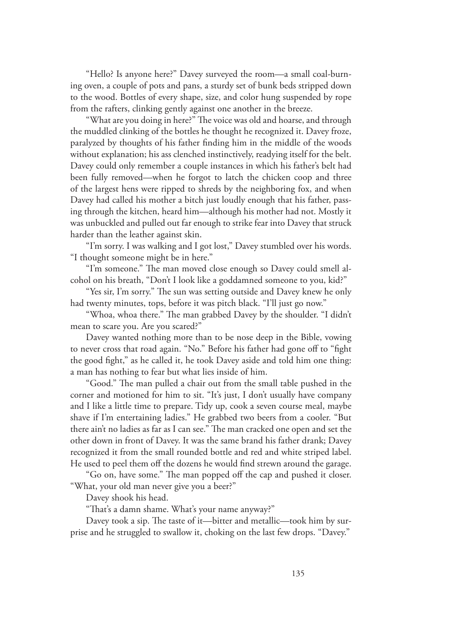"Hello? Is anyone here?" Davey surveyed the room—a small coal-burning oven, a couple of pots and pans, a sturdy set of bunk beds stripped down to the wood. Bottles of every shape, size, and color hung suspended by rope from the rafters, clinking gently against one another in the breeze.

"What are you doing in here?" The voice was old and hoarse, and through the muddled clinking of the bottles he thought he recognized it. Davey froze, paralyzed by thoughts of his father finding him in the middle of the woods without explanation; his ass clenched instinctively, readying itself for the belt. Davey could only remember a couple instances in which his father's belt had been fully removed—when he forgot to latch the chicken coop and three of the largest hens were ripped to shreds by the neighboring fox, and when Davey had called his mother a bitch just loudly enough that his father, passing through the kitchen, heard him—although his mother had not. Mostly it was unbuckled and pulled out far enough to strike fear into Davey that struck harder than the leather against skin.

"I'm sorry. I was walking and I got lost," Davey stumbled over his words. "I thought someone might be in here."

"I'm someone." The man moved close enough so Davey could smell alcohol on his breath, "Don't I look like a goddamned someone to you, kid?"

"Yes sir, I'm sorry." The sun was setting outside and Davey knew he only had twenty minutes, tops, before it was pitch black. "I'll just go now."

"Whoa, whoa there." The man grabbed Davey by the shoulder. "I didn't mean to scare you. Are you scared?"

Davey wanted nothing more than to be nose deep in the Bible, vowing to never cross that road again. "No." Before his father had gone off to "fight the good fight," as he called it, he took Davey aside and told him one thing: a man has nothing to fear but what lies inside of him.

"Good." The man pulled a chair out from the small table pushed in the corner and motioned for him to sit. "It's just, I don't usually have company and I like a little time to prepare. Tidy up, cook a seven course meal, maybe shave if I'm entertaining ladies." He grabbed two beers from a cooler. "But there ain't no ladies as far as I can see." The man cracked one open and set the other down in front of Davey. It was the same brand his father drank; Davey recognized it from the small rounded bottle and red and white striped label. He used to peel them off the dozens he would find strewn around the garage.

"Go on, have some." The man popped off the cap and pushed it closer. "What, your old man never give you a beer?"

Davey shook his head.

"That's a damn shame. What's your name anyway?"

Davey took a sip. The taste of it—bitter and metallic—took him by surprise and he struggled to swallow it, choking on the last few drops. "Davey."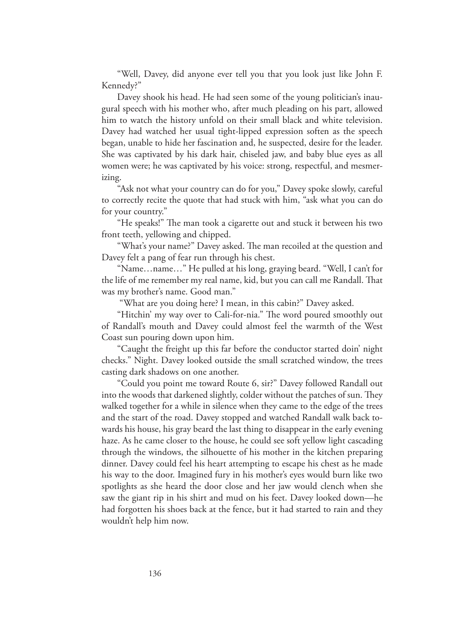"Well, Davey, did anyone ever tell you that you look just like John F. Kennedy?"

Davey shook his head. He had seen some of the young politician's inaugural speech with his mother who, after much pleading on his part, allowed him to watch the history unfold on their small black and white television. Davey had watched her usual tight-lipped expression soften as the speech began, unable to hide her fascination and, he suspected, desire for the leader. She was captivated by his dark hair, chiseled jaw, and baby blue eyes as all women were; he was captivated by his voice: strong, respectful, and mesmerizing.

"Ask not what your country can do for you," Davey spoke slowly, careful to correctly recite the quote that had stuck with him, "ask what you can do for your country."

"He speaks!" The man took a cigarette out and stuck it between his two front teeth, yellowing and chipped.

"What's your name?" Davey asked. The man recoiled at the question and Davey felt a pang of fear run through his chest.

"Name…name…" He pulled at his long, graying beard. "Well, I can't for the life of me remember my real name, kid, but you can call me Randall. That was my brother's name. Good man."

"What are you doing here? I mean, in this cabin?" Davey asked.

"Hitchin' my way over to Cali-for-nia." The word poured smoothly out of Randall's mouth and Davey could almost feel the warmth of the West Coast sun pouring down upon him.

"Caught the freight up this far before the conductor started doin' night checks." Night. Davey looked outside the small scratched window, the trees casting dark shadows on one another.

"Could you point me toward Route 6, sir?" Davey followed Randall out into the woods that darkened slightly, colder without the patches of sun. They walked together for a while in silence when they came to the edge of the trees and the start of the road. Davey stopped and watched Randall walk back towards his house, his gray beard the last thing to disappear in the early evening haze. As he came closer to the house, he could see soft yellow light cascading through the windows, the silhouette of his mother in the kitchen preparing dinner. Davey could feel his heart attempting to escape his chest as he made his way to the door. Imagined fury in his mother's eyes would burn like two spotlights as she heard the door close and her jaw would clench when she saw the giant rip in his shirt and mud on his feet. Davey looked down—he had forgotten his shoes back at the fence, but it had started to rain and they wouldn't help him now.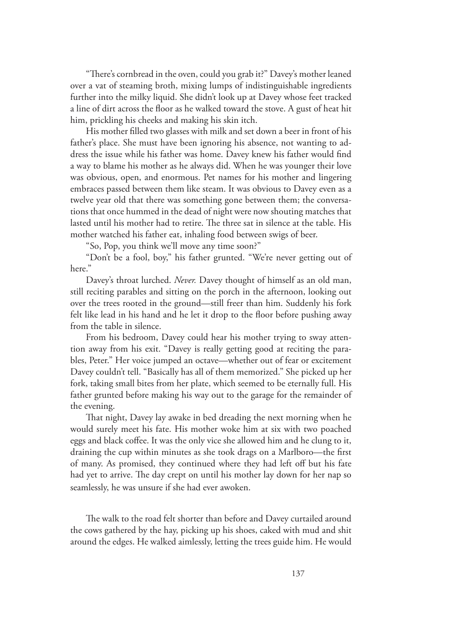"There's cornbread in the oven, could you grab it?" Davey's mother leaned over a vat of steaming broth, mixing lumps of indistinguishable ingredients further into the milky liquid. She didn't look up at Davey whose feet tracked a line of dirt across the floor as he walked toward the stove. A gust of heat hit him, prickling his cheeks and making his skin itch.

His mother filled two glasses with milk and set down a beer in front of his father's place. She must have been ignoring his absence, not wanting to address the issue while his father was home. Davey knew his father would find a way to blame his mother as he always did. When he was younger their love was obvious, open, and enormous. Pet names for his mother and lingering embraces passed between them like steam. It was obvious to Davey even as a twelve year old that there was something gone between them; the conversations that once hummed in the dead of night were now shouting matches that lasted until his mother had to retire. The three sat in silence at the table. His mother watched his father eat, inhaling food between swigs of beer.

"So, Pop, you think we'll move any time soon?"

"Don't be a fool, boy," his father grunted. "We're never getting out of here."

Davey's throat lurched. *Never.* Davey thought of himself as an old man, still reciting parables and sitting on the porch in the afternoon, looking out over the trees rooted in the ground—still freer than him. Suddenly his fork felt like lead in his hand and he let it drop to the floor before pushing away from the table in silence.

From his bedroom, Davey could hear his mother trying to sway attention away from his exit. "Davey is really getting good at reciting the parables, Peter." Her voice jumped an octave—whether out of fear or excitement Davey couldn't tell. "Basically has all of them memorized." She picked up her fork, taking small bites from her plate, which seemed to be eternally full. His father grunted before making his way out to the garage for the remainder of the evening.

That night, Davey lay awake in bed dreading the next morning when he would surely meet his fate. His mother woke him at six with two poached eggs and black coffee. It was the only vice she allowed him and he clung to it, draining the cup within minutes as she took drags on a Marlboro—the first of many. As promised, they continued where they had left off but his fate had yet to arrive. The day crept on until his mother lay down for her nap so seamlessly, he was unsure if she had ever awoken.

The walk to the road felt shorter than before and Davey curtailed around the cows gathered by the hay, picking up his shoes, caked with mud and shit around the edges. He walked aimlessly, letting the trees guide him. He would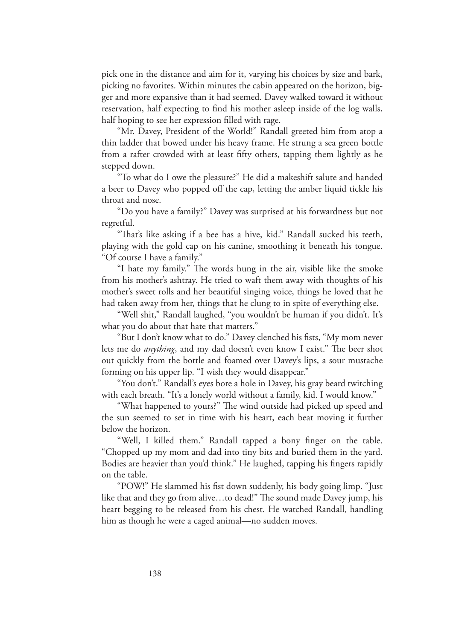pick one in the distance and aim for it, varying his choices by size and bark, picking no favorites. Within minutes the cabin appeared on the horizon, bigger and more expansive than it had seemed. Davey walked toward it without reservation, half expecting to find his mother asleep inside of the log walls, half hoping to see her expression filled with rage.

"Mr. Davey, President of the World!" Randall greeted him from atop a thin ladder that bowed under his heavy frame. He strung a sea green bottle from a rafter crowded with at least fifty others, tapping them lightly as he stepped down.

"To what do I owe the pleasure?" He did a makeshift salute and handed a beer to Davey who popped off the cap, letting the amber liquid tickle his throat and nose.

"Do you have a family?" Davey was surprised at his forwardness but not regretful.

"That's like asking if a bee has a hive, kid." Randall sucked his teeth, playing with the gold cap on his canine, smoothing it beneath his tongue. "Of course I have a family."

"I hate my family." The words hung in the air, visible like the smoke from his mother's ashtray. He tried to waft them away with thoughts of his mother's sweet rolls and her beautiful singing voice, things he loved that he had taken away from her, things that he clung to in spite of everything else.

"Well shit," Randall laughed, "you wouldn't be human if you didn't. It's what you do about that hate that matters."

"But I don't know what to do." Davey clenched his fists, "My mom never lets me do *anything*, and my dad doesn't even know I exist." The beer shot out quickly from the bottle and foamed over Davey's lips, a sour mustache forming on his upper lip. "I wish they would disappear."

"You don't." Randall's eyes bore a hole in Davey, his gray beard twitching with each breath. "It's a lonely world without a family, kid. I would know."

"What happened to yours?" The wind outside had picked up speed and the sun seemed to set in time with his heart, each beat moving it further below the horizon.

"Well, I killed them." Randall tapped a bony finger on the table. "Chopped up my mom and dad into tiny bits and buried them in the yard. Bodies are heavier than you'd think." He laughed, tapping his fingers rapidly on the table.

"POW!" He slammed his fist down suddenly, his body going limp. "Just like that and they go from alive…to dead!" The sound made Davey jump, his heart begging to be released from his chest. He watched Randall, handling him as though he were a caged animal—no sudden moves.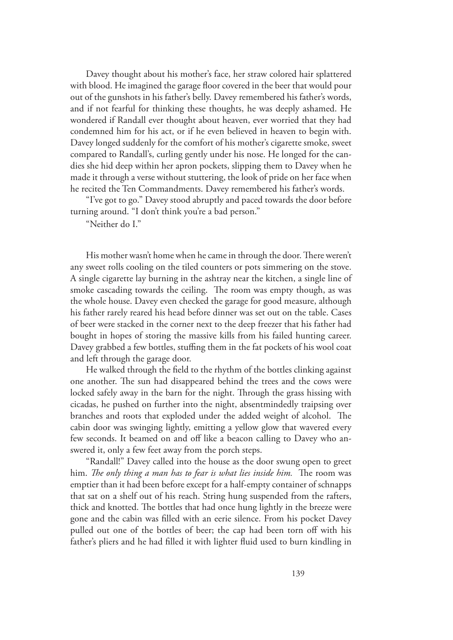Davey thought about his mother's face, her straw colored hair splattered with blood. He imagined the garage floor covered in the beer that would pour out of the gunshots in his father's belly. Davey remembered his father's words, and if not fearful for thinking these thoughts, he was deeply ashamed. He wondered if Randall ever thought about heaven, ever worried that they had condemned him for his act, or if he even believed in heaven to begin with. Davey longed suddenly for the comfort of his mother's cigarette smoke, sweet compared to Randall's, curling gently under his nose. He longed for the candies she hid deep within her apron pockets, slipping them to Davey when he made it through a verse without stuttering, the look of pride on her face when he recited the Ten Commandments. Davey remembered his father's words.

"I've got to go." Davey stood abruptly and paced towards the door before turning around. "I don't think you're a bad person."

"Neither do I."

His mother wasn't home when he came in through the door. There weren't any sweet rolls cooling on the tiled counters or pots simmering on the stove. A single cigarette lay burning in the ashtray near the kitchen, a single line of smoke cascading towards the ceiling. The room was empty though, as was the whole house. Davey even checked the garage for good measure, although his father rarely reared his head before dinner was set out on the table. Cases of beer were stacked in the corner next to the deep freezer that his father had bought in hopes of storing the massive kills from his failed hunting career. Davey grabbed a few bottles, stuffing them in the fat pockets of his wool coat and left through the garage door.

He walked through the field to the rhythm of the bottles clinking against one another. The sun had disappeared behind the trees and the cows were locked safely away in the barn for the night. Through the grass hissing with cicadas, he pushed on further into the night, absentmindedly traipsing over branches and roots that exploded under the added weight of alcohol. The cabin door was swinging lightly, emitting a yellow glow that wavered every few seconds. It beamed on and off like a beacon calling to Davey who answered it, only a few feet away from the porch steps.

"Randall!" Davey called into the house as the door swung open to greet him. *The only thing a man has to fear is what lies inside him.* The room was emptier than it had been before except for a half-empty container of schnapps that sat on a shelf out of his reach. String hung suspended from the rafters, thick and knotted. The bottles that had once hung lightly in the breeze were gone and the cabin was filled with an eerie silence. From his pocket Davey pulled out one of the bottles of beer; the cap had been torn off with his father's pliers and he had filled it with lighter fluid used to burn kindling in